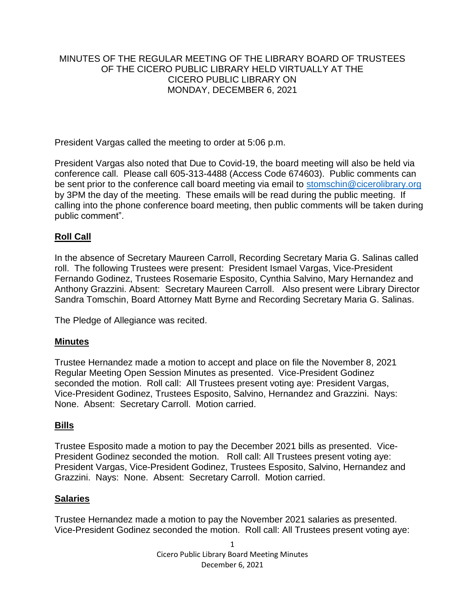## MINUTES OF THE REGULAR MEETING OF THE LIBRARY BOARD OF TRUSTEES OF THE CICERO PUBLIC LIBRARY HELD VIRTUALLY AT THE CICERO PUBLIC LIBRARY ON MONDAY, DECEMBER 6, 2021

President Vargas called the meeting to order at 5:06 p.m.

President Vargas also noted that Due to Covid-19, the board meeting will also be held via conference call. Please call 605-313-4488 (Access Code 674603). Public comments can be sent prior to the conference call board meeting via email to [stomschin@cicerolibrary.org](mailto:stomschin@cicerolibrary.org) by 3PM the day of the meeting. These emails will be read during the public meeting. If calling into the phone conference board meeting, then public comments will be taken during public comment".

# **Roll Call**

In the absence of Secretary Maureen Carroll, Recording Secretary Maria G. Salinas called roll. The following Trustees were present: President Ismael Vargas, Vice-President Fernando Godinez, Trustees Rosemarie Esposito, Cynthia Salvino, Mary Hernandez and Anthony Grazzini. Absent: Secretary Maureen Carroll. Also present were Library Director Sandra Tomschin, Board Attorney Matt Byrne and Recording Secretary Maria G. Salinas.

The Pledge of Allegiance was recited.

### **Minutes**

Trustee Hernandez made a motion to accept and place on file the November 8, 2021 Regular Meeting Open Session Minutes as presented. Vice-President Godinez seconded the motion. Roll call: All Trustees present voting aye: President Vargas, Vice-President Godinez, Trustees Esposito, Salvino, Hernandez and Grazzini. Nays: None. Absent: Secretary Carroll. Motion carried.

### **Bills**

Trustee Esposito made a motion to pay the December 2021 bills as presented. Vice-President Godinez seconded the motion. Roll call: All Trustees present voting aye: President Vargas, Vice-President Godinez, Trustees Esposito, Salvino, Hernandez and Grazzini. Nays: None. Absent: Secretary Carroll. Motion carried.

#### **Salaries**

Trustee Hernandez made a motion to pay the November 2021 salaries as presented. Vice-President Godinez seconded the motion. Roll call: All Trustees present voting aye: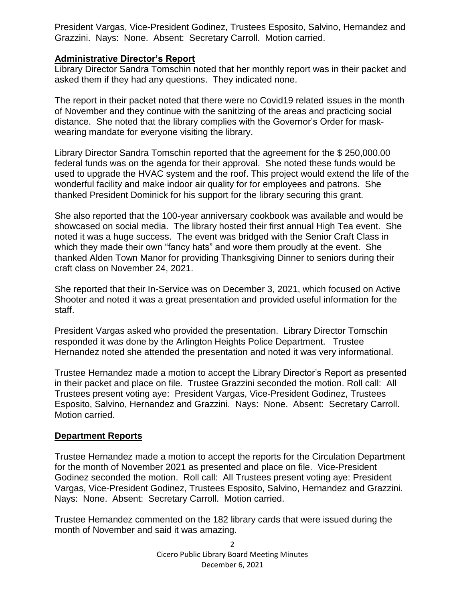President Vargas, Vice-President Godinez, Trustees Esposito, Salvino, Hernandez and Grazzini. Nays: None. Absent: Secretary Carroll. Motion carried.

## **Administrative Director's Report**

Library Director Sandra Tomschin noted that her monthly report was in their packet and asked them if they had any questions. They indicated none.

The report in their packet noted that there were no Covid19 related issues in the month of November and they continue with the sanitizing of the areas and practicing social distance. She noted that the library complies with the Governor's Order for maskwearing mandate for everyone visiting the library.

Library Director Sandra Tomschin reported that the agreement for the \$ 250,000.00 federal funds was on the agenda for their approval. She noted these funds would be used to upgrade the HVAC system and the roof. This project would extend the life of the wonderful facility and make indoor air quality for for employees and patrons. She thanked President Dominick for his support for the library securing this grant.

She also reported that the 100-year anniversary cookbook was available and would be showcased on social media. The library hosted their first annual High Tea event. She noted it was a huge success. The event was bridged with the Senior Craft Class in which they made their own "fancy hats" and wore them proudly at the event. She thanked Alden Town Manor for providing Thanksgiving Dinner to seniors during their craft class on November 24, 2021.

She reported that their In-Service was on December 3, 2021, which focused on Active Shooter and noted it was a great presentation and provided useful information for the staff.

President Vargas asked who provided the presentation. Library Director Tomschin responded it was done by the Arlington Heights Police Department. Trustee Hernandez noted she attended the presentation and noted it was very informational.

Trustee Hernandez made a motion to accept the Library Director's Report as presented in their packet and place on file. Trustee Grazzini seconded the motion. Roll call: All Trustees present voting aye: President Vargas, Vice-President Godinez, Trustees Esposito, Salvino, Hernandez and Grazzini. Nays: None. Absent: Secretary Carroll. Motion carried.

# **Department Reports**

Trustee Hernandez made a motion to accept the reports for the Circulation Department for the month of November 2021 as presented and place on file. Vice-President Godinez seconded the motion. Roll call: All Trustees present voting aye: President Vargas, Vice-President Godinez, Trustees Esposito, Salvino, Hernandez and Grazzini. Nays: None. Absent: Secretary Carroll. Motion carried.

Trustee Hernandez commented on the 182 library cards that were issued during the month of November and said it was amazing.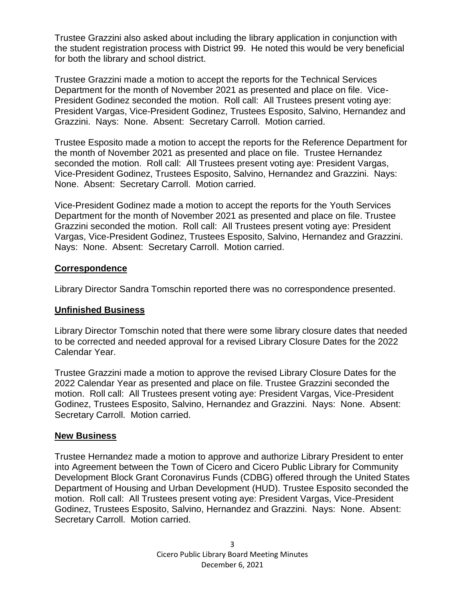Trustee Grazzini also asked about including the library application in conjunction with the student registration process with District 99. He noted this would be very beneficial for both the library and school district.

Trustee Grazzini made a motion to accept the reports for the Technical Services Department for the month of November 2021 as presented and place on file. Vice-President Godinez seconded the motion. Roll call: All Trustees present voting aye: President Vargas, Vice-President Godinez, Trustees Esposito, Salvino, Hernandez and Grazzini. Nays: None. Absent: Secretary Carroll. Motion carried.

Trustee Esposito made a motion to accept the reports for the Reference Department for the month of November 2021 as presented and place on file. Trustee Hernandez seconded the motion. Roll call: All Trustees present voting aye: President Vargas, Vice-President Godinez, Trustees Esposito, Salvino, Hernandez and Grazzini. Nays: None. Absent: Secretary Carroll. Motion carried.

Vice-President Godinez made a motion to accept the reports for the Youth Services Department for the month of November 2021 as presented and place on file. Trustee Grazzini seconded the motion. Roll call: All Trustees present voting aye: President Vargas, Vice-President Godinez, Trustees Esposito, Salvino, Hernandez and Grazzini. Nays: None. Absent: Secretary Carroll. Motion carried.

### **Correspondence**

Library Director Sandra Tomschin reported there was no correspondence presented.

#### **Unfinished Business**

Library Director Tomschin noted that there were some library closure dates that needed to be corrected and needed approval for a revised Library Closure Dates for the 2022 Calendar Year.

Trustee Grazzini made a motion to approve the revised Library Closure Dates for the 2022 Calendar Year as presented and place on file. Trustee Grazzini seconded the motion. Roll call: All Trustees present voting aye: President Vargas, Vice-President Godinez, Trustees Esposito, Salvino, Hernandez and Grazzini. Nays: None. Absent: Secretary Carroll. Motion carried.

#### **New Business**

Trustee Hernandez made a motion to approve and authorize Library President to enter into Agreement between the Town of Cicero and Cicero Public Library for Community Development Block Grant Coronavirus Funds (CDBG) offered through the United States Department of Housing and Urban Development (HUD). Trustee Esposito seconded the motion. Roll call: All Trustees present voting aye: President Vargas, Vice-President Godinez, Trustees Esposito, Salvino, Hernandez and Grazzini. Nays: None. Absent: Secretary Carroll. Motion carried.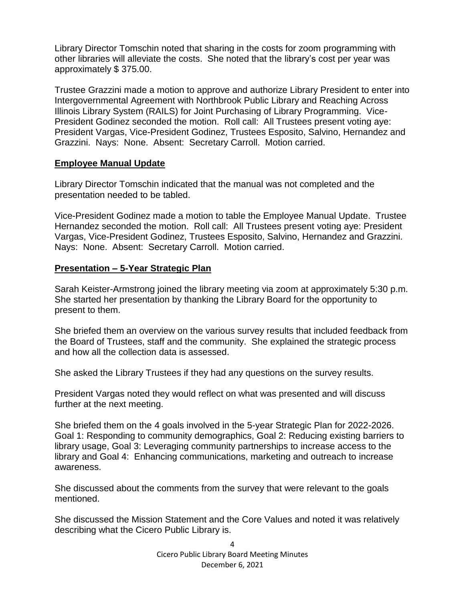Library Director Tomschin noted that sharing in the costs for zoom programming with other libraries will alleviate the costs. She noted that the library's cost per year was approximately \$ 375.00.

Trustee Grazzini made a motion to approve and authorize Library President to enter into Intergovernmental Agreement with Northbrook Public Library and Reaching Across Illinois Library System (RAILS) for Joint Purchasing of Library Programming. Vice-President Godinez seconded the motion. Roll call: All Trustees present voting aye: President Vargas, Vice-President Godinez, Trustees Esposito, Salvino, Hernandez and Grazzini. Nays: None. Absent: Secretary Carroll. Motion carried.

### **Employee Manual Update**

Library Director Tomschin indicated that the manual was not completed and the presentation needed to be tabled.

Vice-President Godinez made a motion to table the Employee Manual Update. Trustee Hernandez seconded the motion. Roll call: All Trustees present voting aye: President Vargas, Vice-President Godinez, Trustees Esposito, Salvino, Hernandez and Grazzini. Nays: None. Absent: Secretary Carroll. Motion carried.

### **Presentation – 5-Year Strategic Plan**

Sarah Keister-Armstrong joined the library meeting via zoom at approximately 5:30 p.m. She started her presentation by thanking the Library Board for the opportunity to present to them.

She briefed them an overview on the various survey results that included feedback from the Board of Trustees, staff and the community. She explained the strategic process and how all the collection data is assessed.

She asked the Library Trustees if they had any questions on the survey results.

President Vargas noted they would reflect on what was presented and will discuss further at the next meeting.

She briefed them on the 4 goals involved in the 5-year Strategic Plan for 2022-2026. Goal 1: Responding to community demographics, Goal 2: Reducing existing barriers to library usage, Goal 3: Leveraging community partnerships to increase access to the library and Goal 4: Enhancing communications, marketing and outreach to increase awareness.

She discussed about the comments from the survey that were relevant to the goals mentioned.

She discussed the Mission Statement and the Core Values and noted it was relatively describing what the Cicero Public Library is.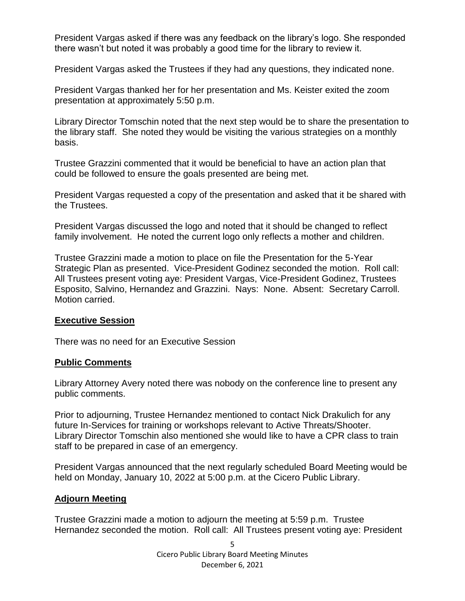President Vargas asked if there was any feedback on the library's logo. She responded there wasn't but noted it was probably a good time for the library to review it.

President Vargas asked the Trustees if they had any questions, they indicated none.

President Vargas thanked her for her presentation and Ms. Keister exited the zoom presentation at approximately 5:50 p.m.

Library Director Tomschin noted that the next step would be to share the presentation to the library staff. She noted they would be visiting the various strategies on a monthly basis.

Trustee Grazzini commented that it would be beneficial to have an action plan that could be followed to ensure the goals presented are being met.

President Vargas requested a copy of the presentation and asked that it be shared with the Trustees.

President Vargas discussed the logo and noted that it should be changed to reflect family involvement. He noted the current logo only reflects a mother and children.

Trustee Grazzini made a motion to place on file the Presentation for the 5-Year Strategic Plan as presented. Vice-President Godinez seconded the motion. Roll call: All Trustees present voting aye: President Vargas, Vice-President Godinez, Trustees Esposito, Salvino, Hernandez and Grazzini. Nays: None. Absent: Secretary Carroll. Motion carried.

### **Executive Session**

There was no need for an Executive Session

### **Public Comments**

Library Attorney Avery noted there was nobody on the conference line to present any public comments.

Prior to adjourning, Trustee Hernandez mentioned to contact Nick Drakulich for any future In-Services for training or workshops relevant to Active Threats/Shooter. Library Director Tomschin also mentioned she would like to have a CPR class to train staff to be prepared in case of an emergency.

President Vargas announced that the next regularly scheduled Board Meeting would be held on Monday, January 10, 2022 at 5:00 p.m. at the Cicero Public Library.

# **Adjourn Meeting**

Trustee Grazzini made a motion to adjourn the meeting at 5:59 p.m. Trustee Hernandez seconded the motion. Roll call: All Trustees present voting aye: President